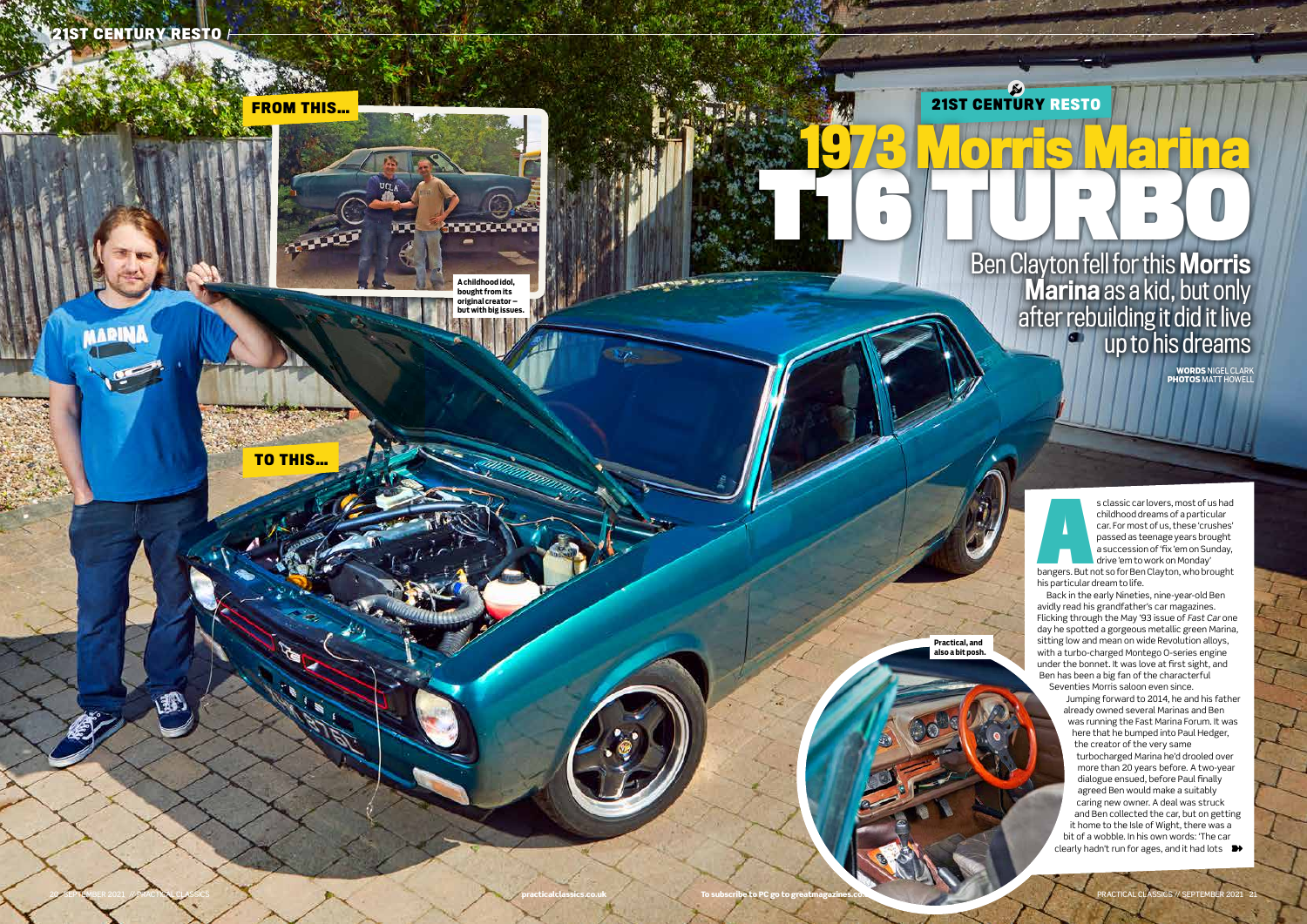

## Ben Clayton fell for this Morris **Marina** as a kid, but only after rebuilding it did it live up to his dreams

s classic car lovers, most of us had<br>
childhood dreams of a particular<br>
car. For most of us, these 'crushes'<br>
passed as teenage years brought<br>
a succession of 'fix 'em on Sunday,<br>
drive 'em to work on Monday'<br>
bangers. But childhood dreams of a particular car. For most of us, these 'crushes' passed as teenage years brought a succession of 'fix 'em on Sunday, drive 'em to work on Monday'

**WORDS** NIGEL CLARK **PHOTOS** MATT HOWELL

Seventies Morris saloon even since. Jumping forward to 2014, he and his father already owned several Marinas and Ben was running the Fast Marina Forum. It was here that he bumped into Paul Hedger, the creator of the very same turbocharged Marina he'd drooled over more than 20 years before. A two-year dialogue ensued, before Paul finally agreed Ben would make a suitably caring new owner. A deal was struck and Ben collected the car, but on getting it home to the Isle of Wight, there was a bit of a wobble. In his own words: 'The car clearly hadn't run for ages, and it had lots  $\rightarrow$ 

his particular dream to life.

Back in the early Nineties, nine-year-old Ben avidly read his grandfather's car magazines. Flicking through the May '93 issue of *Fast Car* one day he spotted a gorgeous metallic green Marina, sitting low and mean on wide Revolution alloys, with a turbo-charged Montego O-series engine under the bonnet. It was love at first sight, and Ben has been a big fan of the characterful

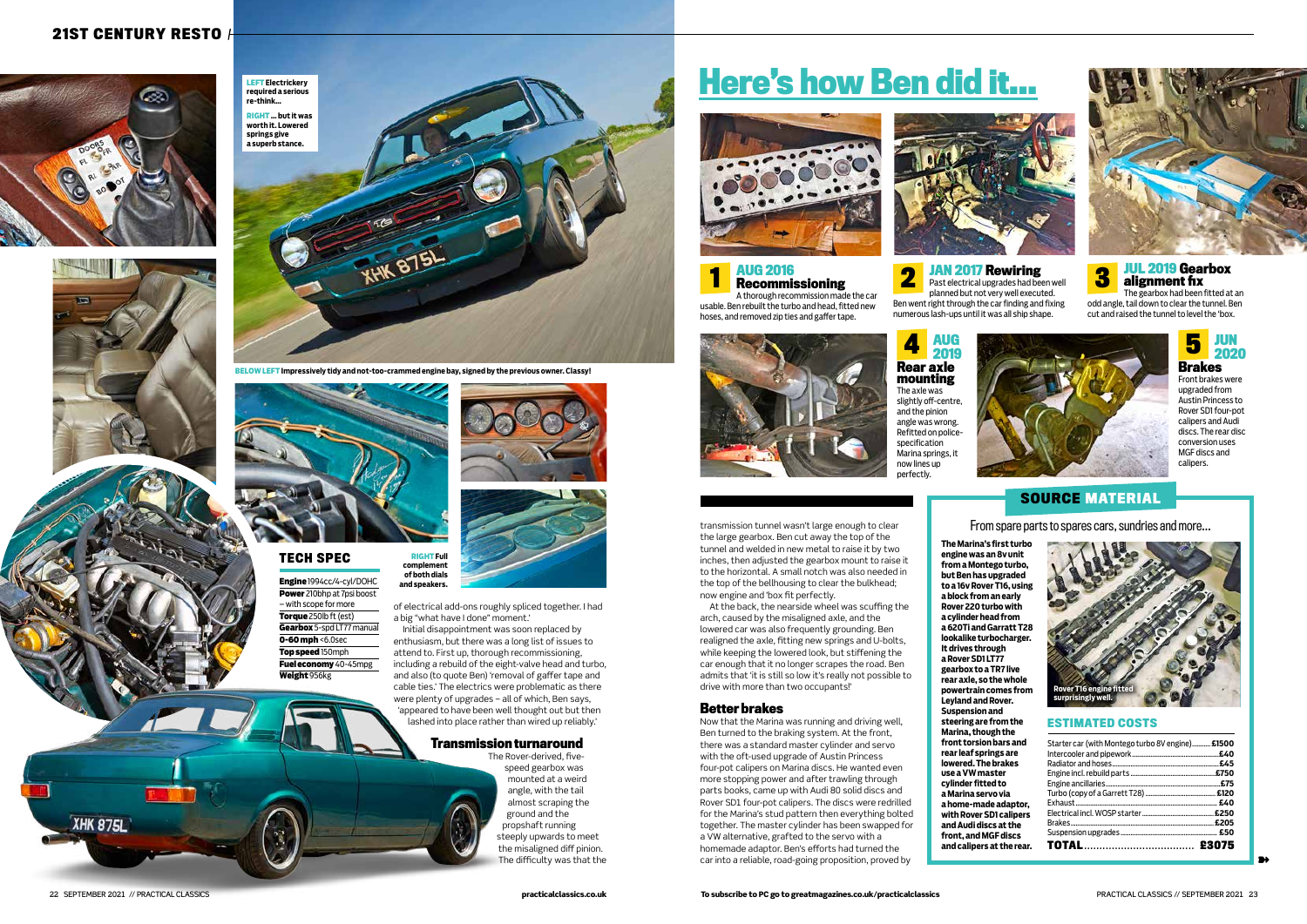of electrical add-ons roughly spliced together. I had a big "what have I done" moment.'

Initial disappointment was soon replaced by enthusiasm, but there was a long list of issues to attend to. First up, thorough recommissioning, including a rebuild of the eight-valve head and turbo, and also (to quote Ben) 'removal of gaffer tape and cable ties.' The electrics were problematic as there were plenty of upgrades – all of which, Ben says, 'appeared to have been well thought out but then lashed into place rather than wired up reliably.'

#### **Transmission turnaround**

The Rover-derived, fivespeed gearbox was mounted at a weird angle, with the tail almost scraping the ground and the propshaft running steeply upwards to meet the misaligned diff pinion. The difficulty was that the

transmission tunnel wasn't large enough to clear the large gearbox. Ben cut away the top of the tunnel and welded in new metal to raise it by two inches, then adjusted the gearbox mount to raise it to the horizontal. A small notch was also needed in the top of the bellhousing to clear the bulkhead; now engine and 'box fit perfectly.

Engine **and speakers.** 1994cc/4-cyl/DOHC Power 210bhp at 7psi boost – with scope for more Torque 250lb ft (est) Gearbox 5-spd LT77 manual **0-60 mph <6.0sec** Top speed 150mph Fuel economy 40-45mpg

At the back, the nearside wheel was scuffing the arch, caused by the misaligned axle, and the lowered car was also frequently grounding. Ben realigned the axle, fitting new springs and U-bolts, while keeping the lowered look, but stiffening the car enough that it no longer scrapes the road. Ben admits that 'it is still so low it's really not possible to drive with more than two occupants!'

#### **Better brakes**

Now that the Marina was running and driving well, Ben turned to the braking system. At the front, there was a standard master cylinder and servo with the oft-used upgrade of Austin Princess four-pot calipers on Marina discs. He wanted even more stopping power and after trawling through parts books, came up with Audi 80 solid discs and Rover SD1 four-pot calipers. The discs were redrilled for the Marina's stud pattern then everything bolted together. The master cylinder has been swapped for a VW alternative, grafted to the servo with a homemade adaptor. Ben's efforts had turned the car into a reliable, road-going proposition, proved by



#### **21ST CENTURY RESTO**







**BELOW LEFT Impressively tidy and not-too-crammed engine bay, signed by the previous owner. Classy!**



**1 AUG 2016 2016 2017 Rewiring Bull 2019 Gearbox 2 Past electrical upgrades had been well <b>3 3 alignment fix 2019 alignment fix** Ben went right through the car finding and fixing

**RIGHT Full complement of both dials** 

Weight 956kg

#### **TECH SPEC**

➽

**The Marina's first turbo engine was an 8v unit from a Montego turbo, but Ben has upgraded to a 16v Rover T16, using a block from an early Rover 220 turbo with a cylinder head from a 620Ti and Garratt T28 lookalike turbocharger. It drives through a Rover SD1 LT77 gearbox to a TR7 live rear axle, so the whole powertrain comes from Leyland and Rover. Suspension and steering are from the Marina, though the front torsion bars and rear leaf springs are lowered. The brakes use a VW master cylinder fitted to a Marina servo via a home-made adaptor, with Rover SD1 calipers and Audi discs at the front, and MGF discs and calipers at the rear.**

#### 22 SEPTEMBER 2021 // PRACTICAL CLASSICS

XHK 875L

#### **SOURCE MATERIAL**

#### **ESTIMATED COSTS**

| Starter car (with Montego turbo 8V engine) £1500 | £40   |
|--------------------------------------------------|-------|
|                                                  | £45   |
|                                                  |       |
|                                                  | £75   |
|                                                  |       |
|                                                  |       |
|                                                  |       |
|                                                  |       |
|                                                  |       |
|                                                  | £3075 |



From spare parts to spares cars, sundries and more…

# **Here's how Ben did it…**



**AUG 2016** 



**Recommissioning** A thorough recommission made the car

usable. Ben rebuilt the turbo and head, fitted new hoses, and removed zip ties and gaffer tape.

planned but not very well executed. numerous lash-ups until it was all ship shape.





The gearbox had been fitted at an odd angle, tail down to clear the tunnel. Ben cut and raised the tunnel to level the 'box.

**AUG** 



**2019 Rear axle mounting** The axle was slightly off-centre, and the pinion angle was wrong. Refitted on policespecification Marina springs, it now lines up perfectly.





Front brakes were upgraded from Austin Princess to Rover SD1 four-pot calipers and Audi discs. The rear disc conversion uses MGF discs and calipers.